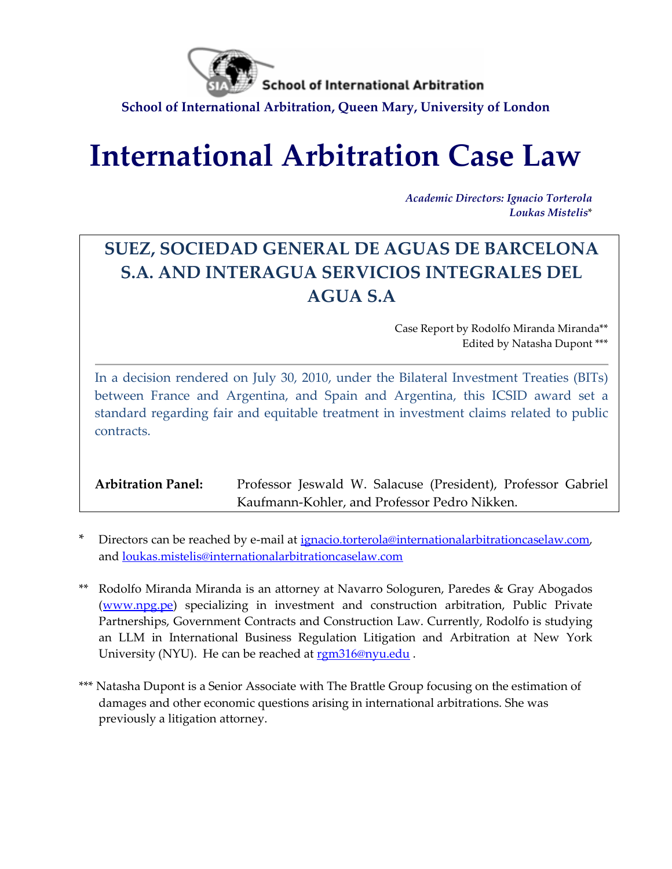

**School of International Arbitration** 

**School of International Arbitration, Queen Mary, University of London**

# **International Arbitration Case Law**

*Academic Directors: Ignacio Torterola Loukas Mistelis*\*

# **SUEZ, SOCIEDAD GENERAL DE AGUAS DE BARCELONA S.A. AND INTERAGUA SERVICIOS INTEGRALES DEL AGUA S.A**

Case Report by Rodolfo Miranda Miranda\*\* Edited by Natasha Dupont \*\*\*

In a decision rendered on July 30, 2010, under the Bilateral Investment Treaties (BITs) between France and Argentina, and Spain and Argentina, this ICSID award set a standard regarding fair and equitable treatment in investment claims related to public contracts.

**Arbitration Panel:** Professor Jeswald W. Salacuse (President), Professor Gabriel Kaufmann-Kohler, and Professor Pedro Nikken.

- Directors can be reached by e-mail at [ignacio.torterola@internationalarbitrationcaselaw.com,](mailto:ignacio.torterola@internationalarbitrationcaselaw.com) and [loukas.mistelis@internationalarbitrationcaselaw.com](mailto:loukas.mistelis@internationalarbitrationcaselaw.com)
- Rodolfo Miranda Miranda is an attorney at Navarro Sologuren, Paredes & Gray Abogados [\(www.npg.pe\)](http://www.npg.pe/) specializing in investment and construction arbitration, Public Private Partnerships, Government Contracts and Construction Law. Currently, Rodolfo is studying an LLM in International Business Regulation Litigation and Arbitration at New York University (NYU). He can be reached a[t rgm316@nyu.edu](mailto:rgm316@nyu.edu).
- \*\*\* Natasha Dupont is a Senior Associate with The Brattle Group focusing on the estimation of damages and other economic questions arising in international arbitrations. She was previously a litigation attorney.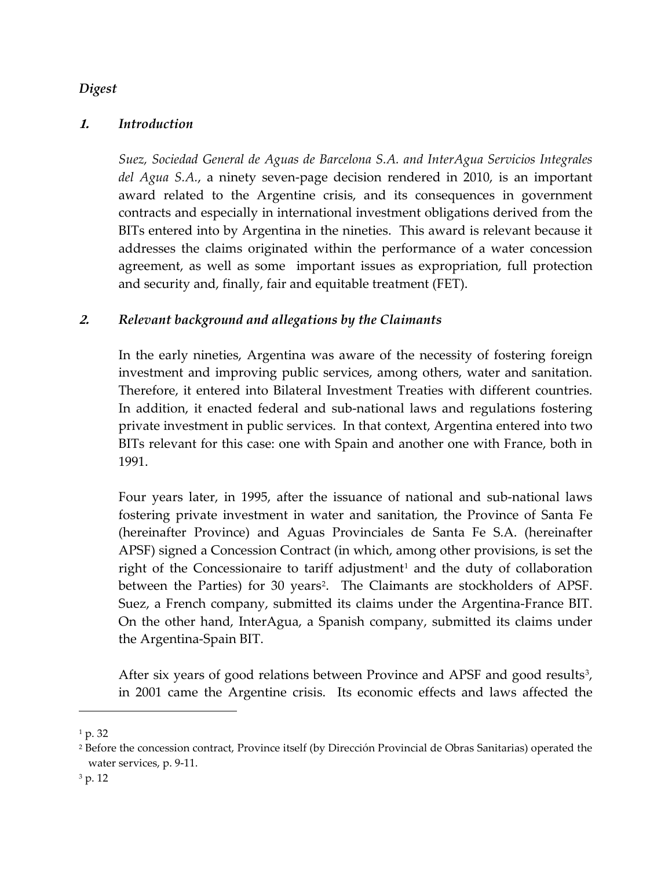#### *Digest*

#### **1.** *Introduction*

*Suez, Sociedad General de Aguas de Barcelona S.A. and InterAgua Servicios Integrales del Agua S.A.*, a ninety seven-page decision rendered in 2010, is an important award related to the Argentine crisis, and its consequences in government contracts and especially in international investment obligations derived from the BITs entered into by Argentina in the nineties. This award is relevant because it addresses the claims originated within the performance of a water concession agreement, as well as some important issues as expropriation, full protection and security and, finally, fair and equitable treatment (FET).

# **2.** *Relevant background and allegations by the Claimants*

In the early nineties, Argentina was aware of the necessity of fostering foreign investment and improving public services, among others, water and sanitation. Therefore, it entered into Bilateral Investment Treaties with different countries. In addition, it enacted federal and sub-national laws and regulations fostering private investment in public services. In that context, Argentina entered into two BITs relevant for this case: one with Spain and another one with France, both in 1991.

Four years later, in 1995, after the issuance of national and sub-national laws fostering private investment in water and sanitation, the Province of Santa Fe (hereinafter Province) and Aguas Provinciales de Santa Fe S.A. (hereinafter APSF) signed a Concession Contract (in which, among other provisions, is set the right of the Concessionaire to tariff adjustment<sup>[1](#page-1-0)</sup> and the duty of collaboration between the Parties) for 30 years<sup>2</sup>. The Claimants are stockholders of APSF. Suez, a French company, submitted its claims under the Argentina-France BIT. On the other hand, InterAgua, a Spanish company, submitted its claims under the Argentina-Spain BIT.

After six years of good relations between Province and APSF and good results<sup>[3](#page-1-2)</sup>, in 2001 came the Argentine crisis. Its economic effects and laws affected the

<span id="page-1-0"></span><sup>1</sup> p. 32

<span id="page-1-1"></span><sup>2</sup> Before the concession contract, Province itself (by Dirección Provincial de Obras Sanitarias) operated the water services, p. 9-11.

<span id="page-1-2"></span><sup>3</sup> p. 12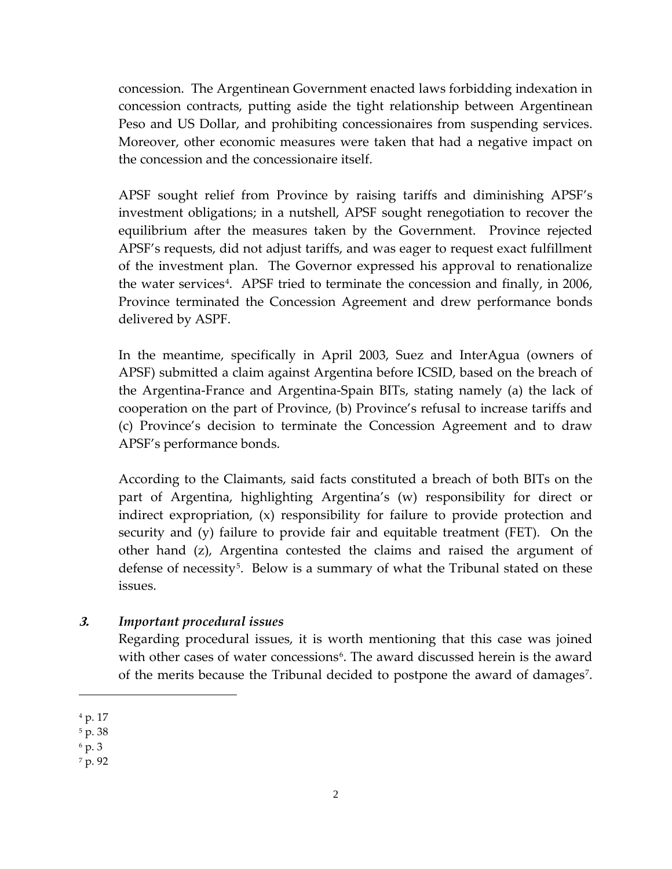concession. The Argentinean Government enacted laws forbidding indexation in concession contracts, putting aside the tight relationship between Argentinean Peso and US Dollar, and prohibiting concessionaires from suspending services. Moreover, other economic measures were taken that had a negative impact on the concession and the concessionaire itself.

APSF sought relief from Province by raising tariffs and diminishing APSF's investment obligations; in a nutshell, APSF sought renegotiation to recover the equilibrium after the measures taken by the Government. Province rejected APSF's requests, did not adjust tariffs, and was eager to request exact fulfillment of the investment plan. The Governor expressed his approval to renationalize the water services<sup>4</sup>. APSF tried to terminate the concession and finally, in 2006, Province terminated the Concession Agreement and drew performance bonds delivered by ASPF.

In the meantime, specifically in April 2003, Suez and InterAgua (owners of APSF) submitted a claim against Argentina before ICSID, based on the breach of the Argentina-France and Argentina-Spain BITs, stating namely (a) the lack of cooperation on the part of Province, (b) Province's refusal to increase tariffs and (c) Province's decision to terminate the Concession Agreement and to draw APSF's performance bonds.

According to the Claimants, said facts constituted a breach of both BITs on the part of Argentina, highlighting Argentina's (w) responsibility for direct or indirect expropriation, (x) responsibility for failure to provide protection and security and (y) failure to provide fair and equitable treatment (FET). On the other hand (z), Argentina contested the claims and raised the argument of defense of necessity<sup>[5](#page-2-1)</sup>. Below is a summary of what the Tribunal stated on these issues.

#### **3.** *Important procedural issues*

Regarding procedural issues, it is worth mentioning that this case was joined with other cases of water concessions<sup>6</sup>. The award discussed herein is the award of the merits because the Tribunal decided to postpone the award of damages<sup>[7](#page-2-3)</sup>.

Ĩ.

<span id="page-2-3"></span><sup>7</sup> p. 92

<span id="page-2-0"></span><sup>4</sup> p. 17

<span id="page-2-1"></span><sup>5</sup> p. 38

<span id="page-2-2"></span><sup>6</sup> p. 3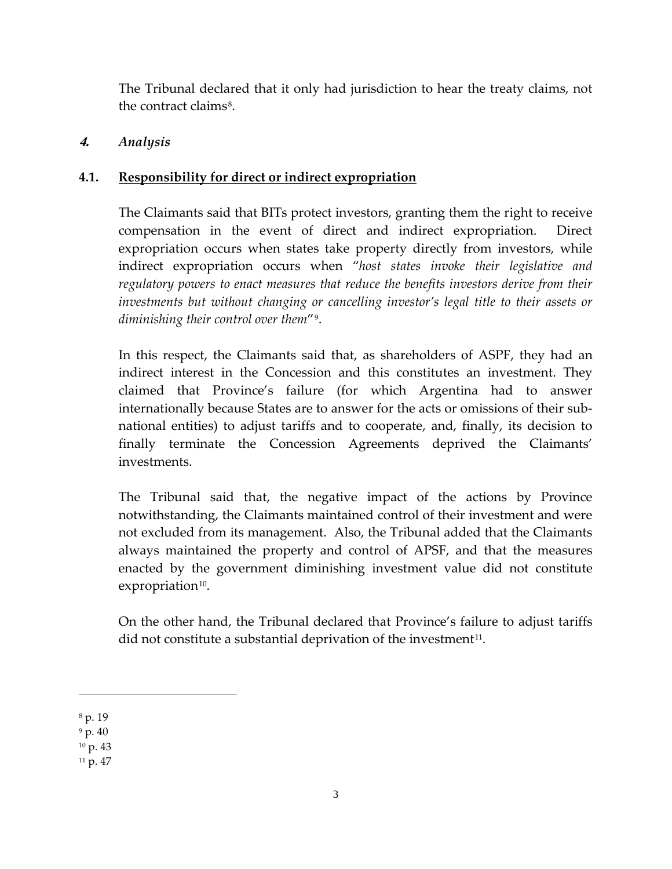The Tribunal declared that it only had jurisdiction to hear the treaty claims, not the contract claims<sup>[8](#page-3-0)</sup>.

# **4.** *Analysis*

# **4.1. Responsibility for direct or indirect expropriation**

The Claimants said that BITs protect investors, granting them the right to receive compensation in the event of direct and indirect expropriation. Direct expropriation occurs when states take property directly from investors, while indirect expropriation occurs when "*host states invoke their legislative and regulatory powers to enact measures that reduce the benefits investors derive from their investments but without changing or cancelling investor's legal title to their assets or diminishing their control over them*"[9](#page-3-1).

In this respect, the Claimants said that, as shareholders of ASPF, they had an indirect interest in the Concession and this constitutes an investment. They claimed that Province's failure (for which Argentina had to answer internationally because States are to answer for the acts or omissions of their subnational entities) to adjust tariffs and to cooperate, and, finally, its decision to finally terminate the Concession Agreements deprived the Claimants' investments.

The Tribunal said that, the negative impact of the actions by Province notwithstanding, the Claimants maintained control of their investment and were not excluded from its management. Also, the Tribunal added that the Claimants always maintained the property and control of APSF, and that the measures enacted by the government diminishing investment value did not constitute  $expropriation<sup>10</sup>$  $expropriation<sup>10</sup>$  $expropriation<sup>10</sup>$ .

On the other hand, the Tribunal declared that Province's failure to adjust tariffs did not constitute a substantial deprivation of the investment<sup>11</sup>.

Ĩ.

<span id="page-3-3"></span> $11 p. 47$ 

<span id="page-3-0"></span><sup>8</sup> p. 19

<span id="page-3-1"></span> $9$  p. 40

<span id="page-3-2"></span><sup>10</sup> p. 43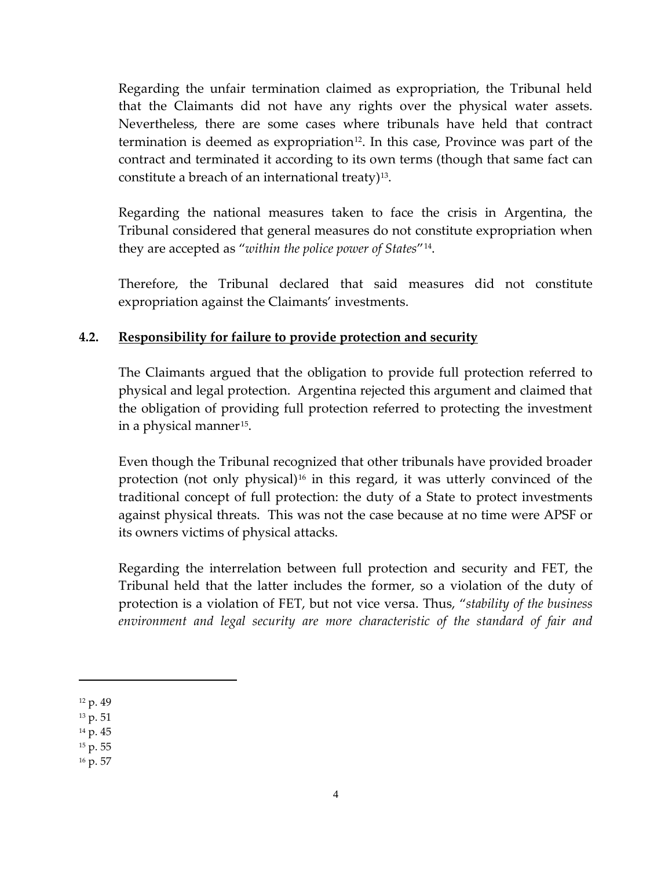Regarding the unfair termination claimed as expropriation, the Tribunal held that the Claimants did not have any rights over the physical water assets. Nevertheless, there are some cases where tribunals have held that contract termination is deemed as expropriation<sup>[12](#page-4-0)</sup>. In this case, Province was part of the contract and terminated it according to its own terms (though that same fact can constitute a breach of an international treaty)<sup>13</sup>.

Regarding the national measures taken to face the crisis in Argentina, the Tribunal considered that general measures do not constitute expropriation when they are accepted as "*within the police power of States*"[14](#page-4-2).

Therefore, the Tribunal declared that said measures did not constitute expropriation against the Claimants' investments.

# **4.2. Responsibility for failure to provide protection and security**

The Claimants argued that the obligation to provide full protection referred to physical and legal protection. Argentina rejected this argument and claimed that the obligation of providing full protection referred to protecting the investment in a physical manner<sup>[15](#page-4-3)</sup>.

Even though the Tribunal recognized that other tribunals have provided broader protection (not only physical)<sup>[16](#page-4-4)</sup> in this regard, it was utterly convinced of the traditional concept of full protection: the duty of a State to protect investments against physical threats. This was not the case because at no time were APSF or its owners victims of physical attacks.

Regarding the interrelation between full protection and security and FET, the Tribunal held that the latter includes the former, so a violation of the duty of protection is a violation of FET, but not vice versa. Thus, "*stability of the business environment and legal security are more characteristic of the standard of fair and* 

Ĩ.

<span id="page-4-4"></span><sup>16</sup> p. 57

<span id="page-4-0"></span><sup>12</sup> p. 49

<span id="page-4-1"></span><sup>13</sup> p. 51

<span id="page-4-2"></span><sup>14</sup> p. 45

<span id="page-4-3"></span><sup>15</sup> p. 55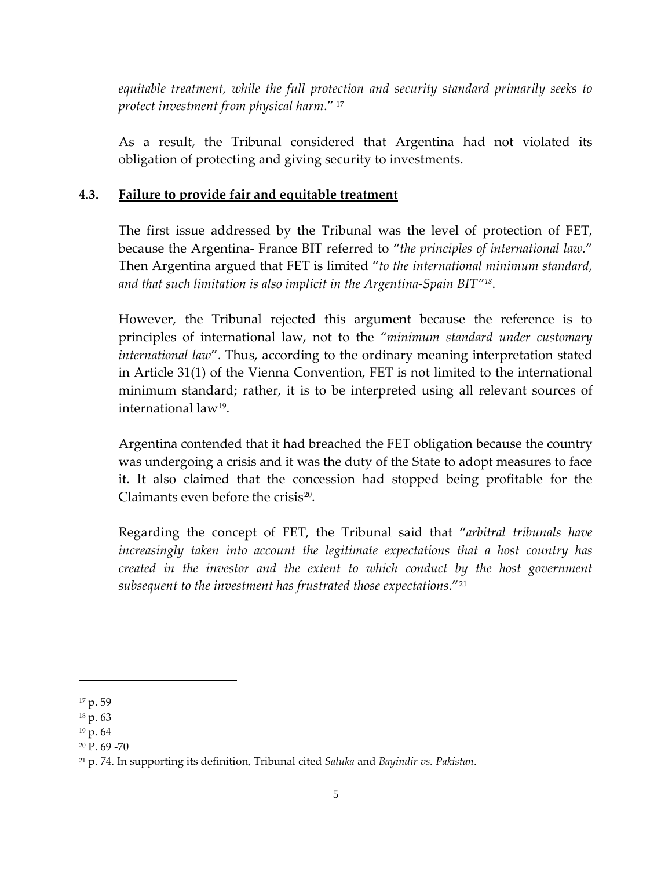*equitable treatment, while the full protection and security standard primarily seeks to protect investment from physical harm*." [17](#page-5-0)

As a result, the Tribunal considered that Argentina had not violated its obligation of protecting and giving security to investments.

### **4.3. Failure to provide fair and equitable treatment**

The first issue addressed by the Tribunal was the level of protection of FET, because the Argentina- France BIT referred to "*the principles of international law.*" Then Argentina argued that FET is limited "*to the international minimum standard, and that such limitation is also implicit in the Argentina-Spain BIT"[18](#page-5-1)*.

However, the Tribunal rejected this argument because the reference is to principles of international law, not to the "*minimum standard under customary international law*". Thus, according to the ordinary meaning interpretation stated in Article 31(1) of the Vienna Convention, FET is not limited to the international minimum standard; rather, it is to be interpreted using all relevant sources of international law[19](#page-5-2).

Argentina contended that it had breached the FET obligation because the country was undergoing a crisis and it was the duty of the State to adopt measures to face it. It also claimed that the concession had stopped being profitable for the Claimants even before the crisis $^{20}$  $^{20}$  $^{20}$ .

Regarding the concept of FET, the Tribunal said that "*arbitral tribunals have increasingly taken into account the legitimate expectations that a host country has created in the investor and the extent to which conduct by the host government subsequent to the investment has frustrated those expectations*."[21](#page-5-4)

<span id="page-5-0"></span><sup>17</sup> p. 59

<span id="page-5-1"></span><sup>18</sup> p. 63

<span id="page-5-2"></span><sup>19</sup> p. 64

<span id="page-5-3"></span><sup>20</sup> P. 69 -70

<span id="page-5-4"></span><sup>21</sup> p. 74. In supporting its definition, Tribunal cited *Saluka* and *Bayindir vs. Pakistan*.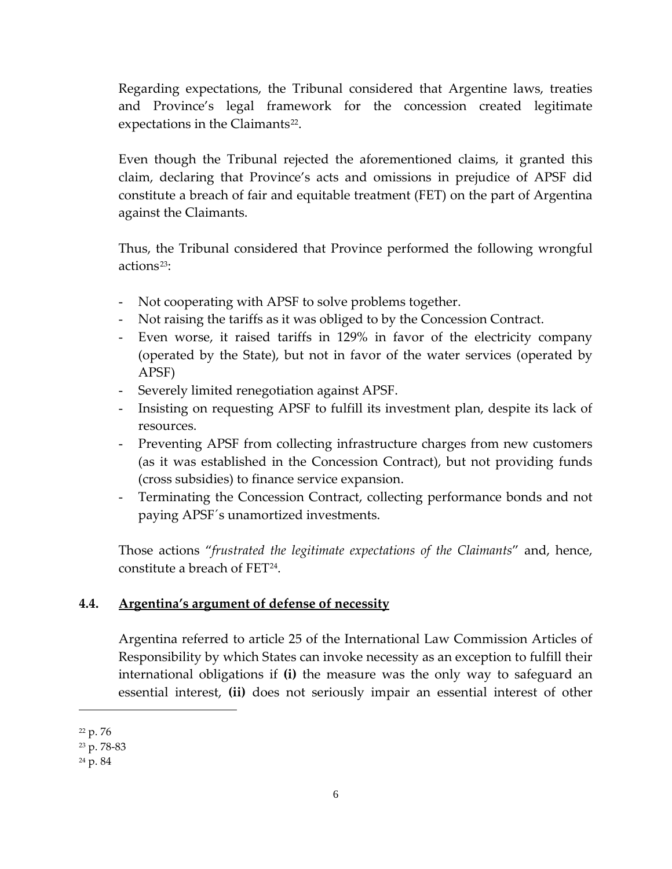Regarding expectations, the Tribunal considered that Argentine laws, treaties and Province's legal framework for the concession created legitimate expectations in the Claimants<sup>22</sup>.

Even though the Tribunal rejected the aforementioned claims, it granted this claim, declaring that Province's acts and omissions in prejudice of APSF did constitute a breach of fair and equitable treatment (FET) on the part of Argentina against the Claimants.

Thus, the Tribunal considered that Province performed the following wrongful actions<sup>23</sup>:

- Not cooperating with APSF to solve problems together.
- Not raising the tariffs as it was obliged to by the Concession Contract.
- Even worse, it raised tariffs in 129% in favor of the electricity company (operated by the State), but not in favor of the water services (operated by APSF)
- Severely limited renegotiation against APSF.
- Insisting on requesting APSF to fulfill its investment plan, despite its lack of resources.
- Preventing APSF from collecting infrastructure charges from new customers (as it was established in the Concession Contract), but not providing funds (cross subsidies) to finance service expansion.
- Terminating the Concession Contract, collecting performance bonds and not paying APSF´s unamortized investments.

Those actions "*frustrated the legitimate expectations of the Claimants*" and, hence, constitute a breach of FET<sup>24</sup>.

#### **4.4. Argentina's argument of defense of necessity**

Argentina referred to article 25 of the International Law Commission Articles of Responsibility by which States can invoke necessity as an exception to fulfill their international obligations if **(i)** the measure was the only way to safeguard an essential interest, **(ii)** does not seriously impair an essential interest of other

<span id="page-6-0"></span><sup>22</sup> p. 76

<span id="page-6-1"></span><sup>23</sup> p. 78-83

<span id="page-6-2"></span><sup>24</sup> p. 84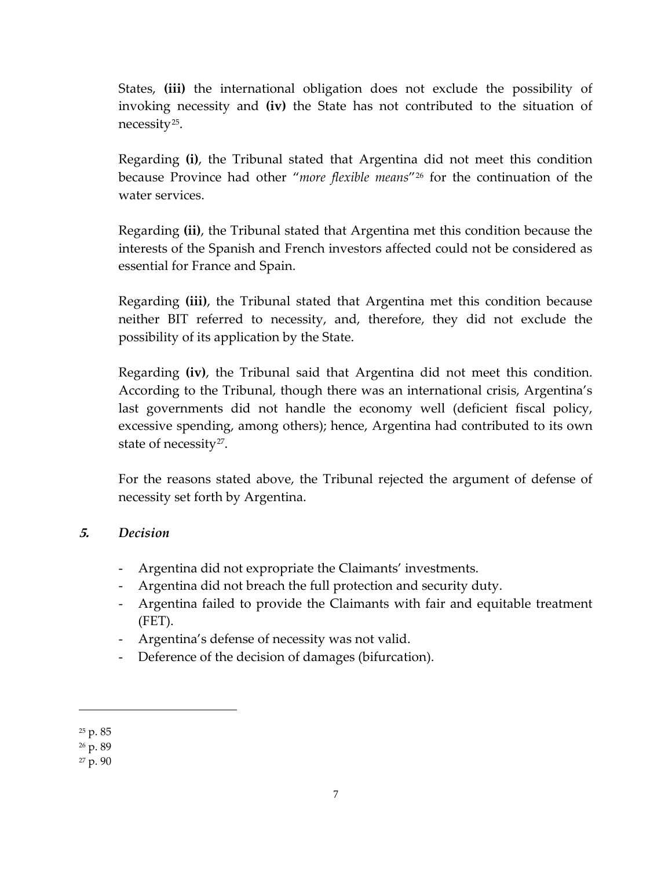States, **(iii)** the international obligation does not exclude the possibility of invoking necessity and **(iv)** the State has not contributed to the situation of necessity[25.](#page-7-0)

Regarding **(i)**, the Tribunal stated that Argentina did not meet this condition because Province had other "*more flexible means*"[26](#page-7-1) for the continuation of the water services.

Regarding **(ii)**, the Tribunal stated that Argentina met this condition because the interests of the Spanish and French investors affected could not be considered as essential for France and Spain.

Regarding **(iii)**, the Tribunal stated that Argentina met this condition because neither BIT referred to necessity, and, therefore, they did not exclude the possibility of its application by the State.

Regarding **(iv)**, the Tribunal said that Argentina did not meet this condition. According to the Tribunal, though there was an international crisis, Argentina's last governments did not handle the economy well (deficient fiscal policy, excessive spending, among others); hence, Argentina had contributed to its own state of necessity<sup>27</sup>.

For the reasons stated above, the Tribunal rejected the argument of defense of necessity set forth by Argentina.

# **5.** *Decision*

- Argentina did not expropriate the Claimants' investments.
- Argentina did not breach the full protection and security duty.
- Argentina failed to provide the Claimants with fair and equitable treatment (FET).
- Argentina's defense of necessity was not valid.
- Deference of the decision of damages (bifurcation).

<span id="page-7-0"></span><sup>25</sup> p. 85

<span id="page-7-1"></span><sup>26</sup> p. 89

<span id="page-7-2"></span><sup>27</sup> p. 90